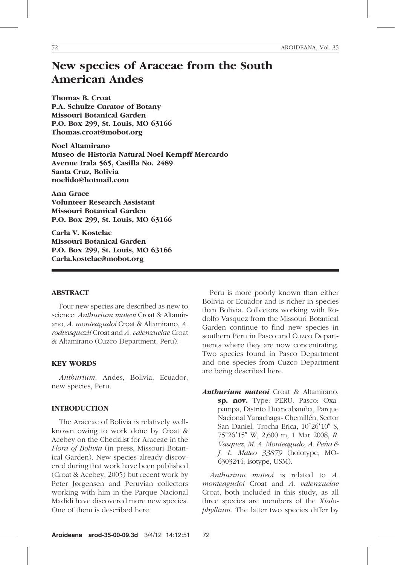# New species of Araceae from the South American Andes

Thomas B. Croat P.A. Schulze Curator of Botany Missouri Botanical Garden P.O. Box 299, St. Louis, MO 63166 Thomas.croat@mobot.org

Noel Altamirano Museo de Historia Natural Noel Kempff Mercardo Avenue Irala 565, Casilla No. 2489 Santa Cruz, Bolivia noelido@hotmail.com

Ann Grace Volunteer Research Assistant Missouri Botanical Garden P.O. Box 299, St. Louis, MO 63166

Carla V. Kostelac Missouri Botanical Garden P.O. Box 299, St. Louis, MO 63166 Carla.kostelac@mobot.org

## ABSTRACT

Four new species are described as new to science: Anthurium mateoi Croat & Altamirano, A. monteagudoi Croat & Altamirano, A. rodvasquezii Croat and A. valenzuelae Croat & Altamirano (Cuzco Department, Peru).

## KEY WORDS

Anthurium, Andes, Bolivia, Ecuador, new species, Peru.

### INTRODUCTION

The Araceae of Bolivia is relatively wellknown owing to work done by Croat & Acebey on the Checklist for Araceae in the Flora of Bolivia (in press, Missouri Botanical Garden). New species already discovered during that work have been published (Croat & Acebey, 2005) but recent work by Peter Jørgensen and Peruvian collectors working with him in the Parque Nacional Madidi have discovered more new species. One of them is described here.

Peru is more poorly known than either Bolivia or Ecuador and is richer in species than Bolivia. Collectors working with Rodolfo Vasquez from the Missouri Botanical Garden continue to find new species in southern Peru in Pasco and Cuzco Departments where they are now concentrating. Two species found in Pasco Department and one species from Cuzco Department are being described here.

Anthurium mateoi Croat & Altamirano, sp. nov. Type: PERU. Pasco: Oxapampa, Distrito Huancabamba, Parque Nacional Yanachaga- Chemillén, Sector San Daniel, Trocha Erica,  $10^{\circ}26'10''$  S, 75°26'15" W, 2,600 m, 1 Mar 2008, R. Vasquez, M. A. Monteagudo, A. Peña & J. L. Mateo 33879 (holotype, MO-6303244; isotype, USM).

Anthurium mateoi is related to A. monteagudoi Croat and A. valenzuelae Croat, both included in this study, as all three species are members of the Xialophyllium. The latter two species differ by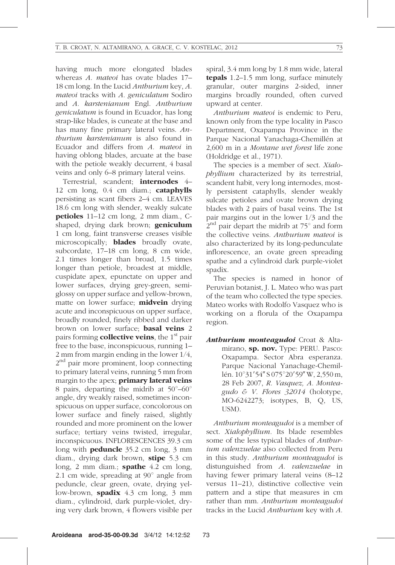having much more elongated blades whereas A. mateoi has ovate blades 17– 18 cm long. In the Lucid Anthurium key, A. mateoi tracks with A. geniculatum Sodiro and A. karstenianum Engl. Anthurium geniculatum is found in Ecuador, has long strap-like blades, is cuneate at the base and has many fine primary lateral veins. Anthurium karstenianum is also found in Ecuador and differs from A. mateoi in having oblong blades, arcuate at the base with the petiole weakly decurrent, 4 basal veins and only 6–8 primary lateral veins.

Terrestrial, scandent; internodes 4– 12 cm long, 0.4 cm diam.; cataphylls persisting as scant fibers 2–4 cm. LEAVES 18.6 cm long with slender, weakly sulcate petioles 11–12 cm long, 2 mm diam., Cshaped, drying dark brown; **geniculum** 1 cm long, faint transverse creases visible microscopically; **blades** broadly ovate, subcordate, 17–18 cm long, 8 cm wide, 2.1 times longer than broad, 1.5 times longer than petiole, broadest at middle, cuspidate apex, epunctate on upper and lower surfaces, drying grey-green, semiglossy on upper surface and yellow-brown, matte on lower surface; **midvein** drying acute and inconspicuous on upper surface, broadly rounded, finely ribbed and darker brown on lower surface; **basal veins** 2 pairs forming **collective veins**, the  $1<sup>st</sup>$  pair free to the base, inconspicuous, running 1– 2 mm from margin ending in the lower 1/4, 2<sup>nd</sup> pair more prominent, loop connecting to primary lateral veins, running 5 mm from margin to the apex; **primary lateral veins** 8 pairs, departing the midrib at  $50^{\circ} - 60^{\circ}$ angle, dry weakly raised, sometimes inconspicuous on upper surface, concolorous on lower surface and finely raised, slightly rounded and more prominent on the lower surface; tertiary veins twisted, irregular, inconspicuous. INFLORESCENCES 39.3 cm long with **peduncle** 35.2 cm long, 3 mm diam., drying dark brown, **stipe** 5.3 cm long, 2 mm diam.; **spathe** 4.2 cm long, 2.1 cm wide, spreading at  $90^\circ$  angle from peduncle, clear green, ovate, drying yellow-brown, spadix 4.3 cm long, 3 mm diam., cylindroid, dark purple-violet, drying very dark brown, 4 flowers visible per

spiral, 3.4 mm long by 1.8 mm wide, lateral tepals 1.2–1.5 mm long, surface minutely granular, outer margins 2-sided, inner margins broadly rounded, often curved upward at center.

Anthurium mateoi is endemic to Peru, known only from the type locality in Pasco Department, Oxapampa Province in the Parque Nacional Yanachaga-Chemillén at 2,600 m in a Montane wet forest life zone (Holdridge et al., 1971).

The species is a member of sect. Xialophyllium characterized by its terrestrial, scandent habit, very long internodes, mostly persistent cataphylls, slender weakly sulcate petioles and ovate brown drying blades with 2 pairs of basal veins. The 1st pair margins out in the lower 1/3 and the  $2<sup>nd</sup>$  pair depart the midrib at 75 $^{\circ}$  and form the collective veins. Anthurium mateoi is also characterized by its long-pedunculate inflorescence, an ovate green spreading spathe and a cylindroid dark purple-violet spadix.

The species is named in honor of Peruvian botanist, J. L. Mateo who was part of the team who collected the type species. Mateo works with Rodolfo Vasquez who is working on a florula of the Oxapampa region.

Anthurium monteagudoi Croat & Altamirano, sp. nov. Type: PERU. Pasco: Oxapampa. Sector Abra esperanza. Parque Nacional Yanachage-Chemillén. 10°31'54" S 075°20'59" W, 2,550 m, 28 Feb 2007, R. Vasquez, A. Monteagudo & V. Flores 32014 (holotype, MO-6242273; isotypes, B, Q, US, USM).

Anthurium monteagudoi is a member of sect. Xialophyllium. Its blade resembles some of the less typical blades of *Anthur*ium valenzuelae also collected from Peru in this study. Anthurium monteagudoi is distunguished from A. valenzuelae in having fewer primary lateral veins (8–12 versus 11–21), distinctive collective vein pattern and a stipe that measures in cm rather than mm. Anthurium monteagudoi tracks in the Lucid Anthurium key with A.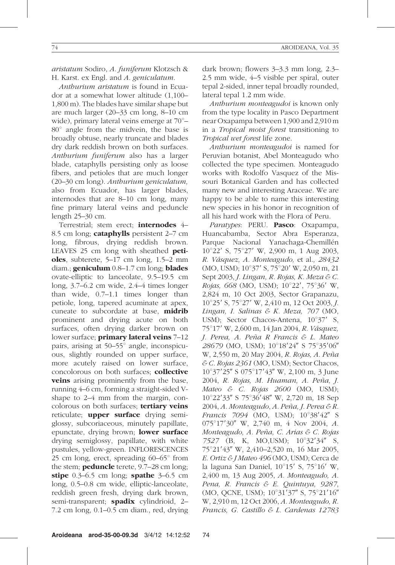aristatum Sodiro, A. funiferum Klotzsch & H. Karst. ex Engl. and A. geniculatum.

Anthurium aristatum is found in Ecuador at a somewhat lower altitude (1,100– 1,800 m). The blades have similar shape but are much larger (20–33 cm long, 8–10 cm wide), primary lateral veins emerge at  $70^{\circ}$ - $80^\circ$  angle from the midvein, the base is broadly obtuse, nearly truncate and blades dry dark reddish brown on both surfaces. Anthurium funiferum also has a larger blade, cataphylls persisting only as loose fibers, and petioles that are much longer (20–30 cm long). Anthurium geniculatum, also from Ecuador, has larger blades, internodes that are 8–10 cm long, many fine primary lateral veins and peduncle length 25–30 cm.

Terrestrial; stem erect; internodes 4-8.5 cm long; **cataphylls** persistent 2–7 cm long, fibrous, drying reddish brown. LEAVES 25 cm long with sheathed petioles, subterete, 5–17 cm long, 1.5–2 mm diam.; **geniculum** 0.8–1.7 cm long; **blades** ovate-elliptic to lanceolate, 9.5–19.5 cm long, 3.7–6.2 cm wide, 2.4–4 times longer than wide, 0.7–1.1 times longer than petiole, long, tapered acuminate at apex, cuneate to subcordate at base, midrib prominent and drying acute on both surfaces, often drying darker brown on lower surface; **primary lateral veins** 7–12 pairs, arising at  $50-55^\circ$  angle, inconspicuous, slightly rounded on upper surface, more acutely raised on lower surface, concolorous on both surfaces; collective **veins** arising prominently from the base, running 4–6 cm, forming a straight-sided Vshape to 2–4 mm from the margin, concolorous on both surfaces; **tertiary veins** reticulate; **upper surface** drying semiglossy, subcoriaceous, minutely papillate, epunctate, drying brown; lower surface drying semiglossy, papillate, with white pustules, yellow-green. INFLORESCENCES 25 cm long, erect, spreading  $60-65^\circ$  from the stem; **peduncle** terete, 9.7–28 cm long; stipe  $0.3-6.5$  cm long; spathe  $3-6.5$  cm long, 0.5–0.8 cm wide, elliptic-lanceolate, reddish green fresh, drying dark brown, semi-transparent; **spadix** cylindrioid, 2-7.2 cm long, 0.1–0.5 cm diam., red, drying dark brown; flowers 3–3.3 mm long, 2.3– 2.5 mm wide, 4–5 visible per spiral, outer

tepal 2-sided, inner tepal broadly rounded, lateral tepal 1.2 mm wide. Anthurium monteagudoi is known only from the type locality in Pasco Department near Oxapampa between 1,900 and 2,910 m in a Tropical moist forest transitioning to

Tropical wet forest life zone. Anthurium monteagudoi is named for Peruvian botanist, Abel Monteagudo who collected the type specimen. Monteagudo works with Rodolfo Vasquez of the Missouri Botanical Garden and has collected many new and interesting Araceae. We are happy to be able to name this interesting new species in his honor in recognition of all his hard work with the Flora of Peru.

Paratypes: PERU. Pasco: Oxapampa, Huancabamba, Sector Abra Esperanza, Parque Nacional Yanachaga-Chemillén  $10^{\circ}22'$  S,  $75^{\circ}27'$  W, 2,900 m, 1 Aug 2003, R. Vásquez, A. Monteagudo, et al., 28432  $(MO, USM); 10^{\circ}37'$  S, 75°20' W, 2,050 m, 21 Sept 2003, J. Lingan, R. Rojas, K. Meza & C. Rojas, 668 (MO, USM); 10°22', 75°36' W, 2,824 m, 10 Oct 2003, Sector Grapanazu,  $10^{\circ}25'$  S,  $75^{\circ}27'$  W, 2,410 m, 12 Oct 2003, *J.* Lingan, I. Salinas & K. Meza, 707 (MO, USM); Sector Chacos-Antena,  $10^{\circ}37'$  S, 75°17′ W, 2,600 m, 14 Jan 2004, R. Vásquez, J. Perea, A. Peña R Francis & L. Mateo 28679 (MO, USM); 10°18'24" S 75°35'06" W, 2,550 m, 20 May 2004, R. Rojas, A. Peña & C. Rojas 2361 (MO, USM); Sector Chacos,  $10^{\circ}37'25''$  S  $075^{\circ}17'43''$  W, 2,100 m, 3 June 2004, R. Rojas, M. Huaman, A. Peña, J. Mateo & C. Rojas  $2600$  (MO, USM); 10°22'33" S 75°36'48" W, 2,720 m, 18 Sep  $2004$ , A. Monteagudo, A. Peña, J. Perea & R. Francis 7094 (MO, USM);  $10^{\circ}38'42''$  S  $075^{\circ}17'30''$  W, 2,740 m, 4 Nov 2004, A. Monteagudo, A. Peña, C. Arias & C. Rojas  $7527$  (B, K, MO,USM);  $10^{\circ}32'34''$  S, 75°21′43″ W, 2,410–2,520 m, 16 Mar 2005, E. Ortiz & J Mateo 496 (MO, USM); Cerca de la laguna San Daniel,  $10^{\circ}15'$  S,  $75^{\circ}16'$  W, 2,400 m, 13 Aug 2005, A. Monteagudo, A. Pena, R. Francis & E. Quintuya, 9287, (MO, QCNE, USM);  $10^{\circ}31'37''$  S,  $75^{\circ}21'16''$ W, 2,910 m, 12 Oct 2006, A. Monteagudo, R. Francis, G. Castillo & L. Cardenas 12783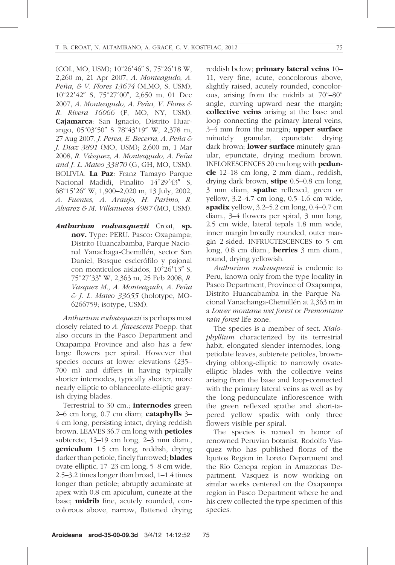(COL, MO, USM);  $10^{\circ}26'46''$  S,  $75^{\circ}26'18$  W, 2,260 m, 21 Apr 2007, A. Monteagudo, A. Peña, & V. Flores 13674 (M,MO, S, USM); 10°22'42" S, 75°27'00", 2,650 m, 01 Dec 2007, A. Monteagudo, A. Peña, V. Flores & R. Rivera 16066 (F, MO, NY, USM). Cajamarca: San Ignacio, Distrito Huarango,  $05^{\circ}03'50''$  S  $78^{\circ}43'19''$  W, 2,378 m, 27 Aug 2007, J. Perea, E. Becerra, A. Peña & J. Diaz 3891 (MO, USM); 2,600 m, 1 Mar 2008, R. Vásquez, A. Monteagudo, A. Peña and J. L. Mateo 33870 (G, GH, MO, USM). BOLIVIA. La Paz: Franz Tamayo Parque Nacional Madidi, Pinalito 14°29'43" S, 68°15'26" W, 1,900-2,020 m, 13 July, 2002, A. Fuentes, A. Araujo, H. Parimo, R. Alvarez & M. Villanueva 4987 (MO, USM).

Anthurium rodvasquezii Croat, sp. nov. Type: PERU. Pasco: Oxapampa; Distrito Huancabamba, Parque Nacional Yanachaga-Chemillén, sector San Daniel, Bosque esclerófilo y pajonal con montículos aislados, 10°26'13" S, 75°27′33″ W, 2,363 m, 25 Feb 2008, R. Vasquez M., A. Monteagudo, A. Peña & J. L. Mateo 33655 (holotype, MO-6266759; isotype, USM).

Anthurium rodvasquezii is perhaps most closely related to A. flavescens Poepp. that also occurs in the Pasco Department and Oxapampa Province and also has a few large flowers per spiral. However that species occurs at lower elevations (235– 700 m) and differs in having typically shorter internodes, typically shorter, more nearly elliptic to oblanceolate-elliptic grayish drying blades.

Terrestrial to 30 cm.; **internodes** green  $2-6$  cm long, 0.7 cm diam; cataphylls  $3-$ 4 cm long, persisting intact, drying reddish brown. LEAVES 36.7 cm long with petioles subterete, 13–19 cm long, 2–3 mm diam., **geniculum** 1.5 cm long, reddish, drying darker than petiole, finely furrowed; **blades** ovate-elliptic, 17–23 cm long, 5–8 cm wide, 2.5–3.2 times longer than broad, 1–1.4 times longer than petiole; abruptly acuminate at apex with 0.8 cm apiculum, cuneate at the base; **midrib** fine, acutely rounded, concolorous above, narrow, flattened drying

reddish below; primary lateral veins 10– 11, very fine, acute, concolorous above, slightly raised, acutely rounded, concolorous, arising from the midrib at  $70^{\circ} - 80^{\circ}$ angle, curving upward near the margin; collective veins arising at the base and loop connecting the primary lateral veins,  $3-4$  mm from the margin; **upper surface** minutely granular, epunctate drying dark brown: **lower surface** minutely granular, epunctate, drying medium brown. INFLORESCENCES 20 cm long with **pedun**cle 12–18 cm long, 2 mm diam., reddish, drying dark brown, stipe  $0.5-0.8$  cm long, 3 mm diam, **spathe** reflexed, green or yellow, 3.2–4.7 cm long, 0.5–1.6 cm wide, spadix yellow, 3.2–5.2 cm long, 0.4–0.7 cm diam., 3–4 flowers per spiral, 3 mm long, 2.5 cm wide, lateral tepals 1.8 mm wide, inner margin broadly rounded, outer margin 2-sided. INFRUCTESCENCES to 5 cm long, 0.8 cm diam.; **berries** 3 mm diam., round, drying yellowish.

Anthurium rodvasquezii is endemic to Peru, known only from the type locality in Pasco Department, Province of Oxapampa, Distrito Huancabamba in the Parque Nacional Yanachanga-Chemillén at 2,363 m in a Lower montane wet forest or Premontane rain forest life zone.

The species is a member of sect. Xialophyllium characterized by its terrestrial habit, elongated slender internodes, longpetiolate leaves, subterete petioles, browndrying oblong-elliptic to narrowly ovateelliptic blades with the collective veins arising from the base and loop-connected with the primary lateral veins as well as by the long-pedunculate inflorescence with the green reflexed spathe and short-tapered yellow spadix with only three flowers visible per spiral.

The species is named in honor of renowned Peruvian botanist, Rodolfo Vasquez who has published floras of the Iquitos Region in Loreto Department and the Río Cenepa region in Amazonas Department. Vasquez is now working on similar works centered on the Oxapampa region in Pasco Department where he and his crew collected the type specimen of this species.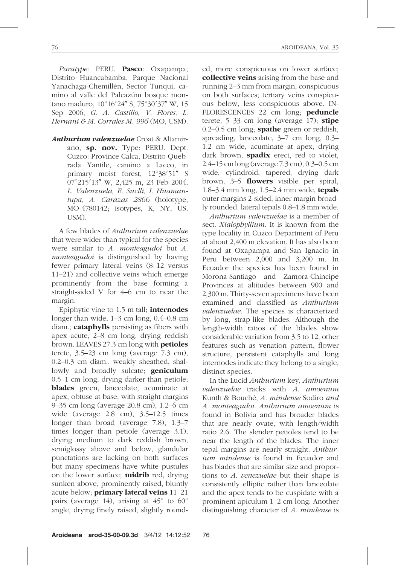Paratype: PERU. Pasco: Oxapampa; Distrito Huancabamba, Parque Nacional Yanachaga-Chemillén, Sector Tunqui, camino al valle del Palcazúm bosque montano maduro,  $10^{\circ}16'24''$  S,  $75^{\circ}30'37''$  W, 15 Sep 2006, G. A. Castillo, V. Flores, L. Hernani & M. Corrales M. 996 (MO, USM).

Anthurium valenzuelae Croat & Altamirano, sp. nov. Type: PERU. Dept. Cuzco: Province Calca, Distrito Quebrada Yantile, camino a Lacco, in primary moist forest,  $12^{\circ}38'51''$  S 07°215'13″ W, 2,425 m, 23 Feb 2004, L. Valenzuela, E. Suclli, I. Huamantupa, A. Carazas 2866 (holotype, MO-4780142; isotypes, K, NY, US, USM).

A few blades of Anthurium valenzuelae that were wider than typical for the species were similar to A. monteagudoi but A. monteagudoi is distinguished by having fewer primary lateral veins (8–12 versus 11–21) and collective veins which emerge prominently from the base forming a straight-sided V for 4–6 cm to near the margin.

Epiphytic vine to 1.5 m tall; internodes longer than wide, 1–3 cm long, 0.4–0.8 cm diam.; cataphylls persisting as fibers with apex acute, 2–8 cm long, drying reddish brown. LEAVES 27.3 cm long with petioles terete, 3.5–23 cm long (average 7.3 cm), 0.2–0.3 cm diam., weakly sheathed, shallowly and broadly sulcate; **geniculum** 0.5–1 cm long, drying darker than petiole; blades green, lanceolate, acuminate at apex, obtuse at base, with straight margins 9–35 cm long (average 20.8 cm), 1.2–6 cm wide (average 2.8 cm), 3.5–12.5 times longer than broad (average 7.8), 1.3–7 times longer than petiole (average 3.1), drying medium to dark reddish brown, semiglossy above and below, glandular punctations are lacking on both surfaces but many specimens have white pustules on the lower surface; **midrib** red, drying sunken above, prominently raised, bluntly acute below; **primary lateral veins** 11-21 pairs (average 14), arising at  $45^{\circ}$  to  $60^{\circ}$ angle, drying finely raised, slightly rounded, more conspicuous on lower surface; collective veins arising from the base and running 2–3 mm from margin, conspicuous on both surfaces; tertiary veins conspicuous below, less conspicuous above. IN-FLORESCENCES 22 cm long; **peduncle** terete,  $5-33$  cm long (average 17); stipe  $0.2-0.5$  cm long; **spathe** green or reddish, spreading, lanceolate, 3–7 cm long, 0.3– 1.2 cm wide, acuminate at apex, drying dark brown; **spadix** erect, red to violet, 2.4–15 cm long (average 7.3 cm), 0.3–0.5 cm wide, cylindroid, tapered, drying dark brown, 3–5 **flowers** visible per spiral, 1.8–3.4 mm long, 1.5–2.4 mm wide, **tepals** outer margins 2-sided, inner margin broadly rounded. lateral tepals 0.8–1.8 mm wide.

Anthurium valenzuelae is a member of sect. *Xialophyllium*. It is known from the type locality in Cuzco Department of Peru at about 2,400 m elevation. It has also been found at Oxapampa and San Ignacio in Peru between 2,000 and 3,200 m. In Ecuador the species has been found in Morona-Santiago and Zamora-Chincipe Provinces at altitudes between 900 and 2,300 m. Thirty-seven specimens have been examined and classified as Anthurium valenzuelae. The species is characterized by long, strap-like blades. Although the length-width ratios of the blades show considerable variation from 3.5 to 12, other features such as venation pattern, flower structure, persistent cataphylls and long internodes indicate they belong to a single, distinct species.

In the Lucid Anthurium key, Anthurium valenzuelae tracks with A. amoenum Kunth & Bouché, A. mindense Sodiro and A. monteagudoi. Anthurium amoenum is found in Bolivia and has broader blades that are nearly ovate, with length/width ratio 2.6. The slender petioles tend to be near the length of the blades. The inner tepal margins are nearly straight. Anthurium mindense is found in Ecuador and has blades that are similar size and proportions to A. venezuelae but their shape is consistently elliptic rather than lanceolate and the apex tends to be cuspidate with a prominent apiculum 1–2 cm long. Another distinguishing character of A. *mindense* is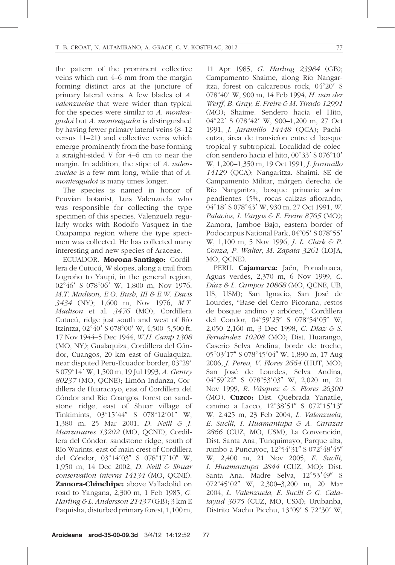the pattern of the prominent collective veins which run 4–6 mm from the margin forming distinct arcs at the juncture of primary lateral veins. A few blades of A. valenzuelae that were wider than typical for the species were similar to A. monteagudoi but A. monteagudoi is distinguished by having fewer primary lateral veins (8–12 versus 11–21) and collective veins which emerge prominently from the base forming a straight-sided V for 4–6 cm to near the margin. In addition, the stipe of A. valenzuelae is a few mm long, while that of A. monteagudoi is many times longer.

The species is named in honor of Peuvian botanist, Luis Valenzuela who was responsible for collecting the type specimen of this species. Valenzuela regularly works with Rodolfo Vasquez in the Oxapampa region where the type specimen was collected. He has collected many interesting and new species of Araceae.

ECUADOR. Morona-Santiago: Cordillera de Cutucú, W slopes, along a trail from Logroño to Yaupi, in the general region, 02°46′ S 078°06′ W, 1,800 m, Nov 1976, M.T. Madison, E.O. Bush, III & E.W. Davis 3434 (NY); 1,600 m, Nov 1976, M.T. Madison et al. 3476 (MO); Cordillera Cutucú, ridge just south and west of Río Itzintza,  $02^{\circ}40'$  S 078 $^{\circ}00'$  W, 4,500–5,500 ft, 17 Nov 1944–5 Dec 1944, W.H. Camp 1308 (MO, NY); Gualaquiza, Cordillera del Cóndor, Cuangos, 20 km east of Gualaquiza, near disputed Peru-Ecuador border, 03°29' S 079°14′ W, 1,500 m, 19 Jul 1993, A. Gentry 80237 (MO, QCNE); Limón Indanza, Cordillera de Huaracayo, east of Cordillera del Cóndor and Río Coangos, forest on sandstone ridge, east of Shuar village of Tinkimints,  $03^{\circ}15'44''$  S  $078^{\circ}12'01''$  W, 1,380 m, 25 Mar 2001, D. Neill & J. Manzanares 13202 (MO, QCNE); Cordillera del Cóndor, sandstone ridge, south of Rı´o Warints, east of main crest of Cordillera del Cóndor,  $03^{\circ}14'03''$  S  $078^{\circ}17'10''$  W, 1,950 m, 14 Dec 2002, D. Neill & Shuar conservation interns 14134 (MO, QCNE). Zamora-Chinchipe: above Valladolid on road to Yangana, 2,300 m, 1 Feb 1985, G. Harling & L. Andersson 21437(GB); 3 km E Paquisha, disturbed primary forest, 1,100 m,

11 Apr 1985, G. Harling 23984 (GB); Campamento Shaime, along Río Nangaritza, forest on calcareous rock, 04°20' S 078°40′ W, 900 m, 14 Feb 1994, H. van der Werff, B. Gray, E. Freire & M. Tirado 12991 (MO); Shaime. Sendero hacia el Hito, 04°22′ S 078°42′ W, 900–1,200 m, 27 Oct 1991, J. Jaramillo 14448 (QCA); Pachicutza, área de transicíon entre el bosque tropical y subtropical. Localidad de coleccíon sendero hacia el hito,  $00^{\circ}33'$  S  $076^{\circ}10'$ W, 1,200–1,350 m, 19 Oct 1991, J. Jaramillo 14129 (QCA); Nangaritza. Shaimi. SE de Campamento Militar, márgen derecha de Rı´o Nangaritza, bosque primario sobre pendientes 45%, rocas calizas aflorando, 04°18′ S 078°43′ W, 930 m, 27 Oct 1991, W. Palacios, I. Vargas & E. Freire 8765 (MO); Zamora, Jamboe Bajo, eastern border of Podocarpus National Park, 04°05' S 078°55' W, 1,100 m, 5 Nov 1996, *J. L. Clark & P.* Conza, P. Walter, M. Zapata 3261 (LOJA, MO, QCNE).

PERU. Cajamarca: Jaén, Pomahuaca, Aguas verdes, 2,370 m, 6 Nov 1999, C. Díaz & L. Campos 10868 (MO, QCNE, UB, US, USM); San Ignacio, San José de Lourdes, ''Base del Cerro Picorana, restos de bosque andino y arbóreo," Cordillera del Condor, 04°59'25" S 078°54'05" W, 2,050–2,160 m, 3 Dec 1998, C. Díaz & S. Fernández 10208 (MO); Dist. Huarango, Caserio Selva Andina, borde de troche, 05°03'17" S 078°45'04" W, 1,890 m, 17 Aug 2006, J. Perea, V. Flores 2664 (HUT, MO); San José de Lourdes, Selva Andina, 04°59'22" S 078°53'03" W, 2,020 m, 21 Nov 1999, R. Vásquez & S. Flores 26300 (MO). Cuzco: Dist. Quebrada Yanatile, camino a Lacco,  $12^{\circ}38'51''$  S  $072^{\circ}15'13''$ W, 2,425 m, 23 Feb 2004, L. Valenzuela, E. Suclli, I. Huamantupa & A. Carazas 2866 (CUZ, MO, USM); La Convención, Dist. Santa Ana, Tunquimayo, Parque alta, rumbo a Puncuyoc, 12°54'31" S 072°48'45" W, 2,400 m, 21 Nov 2005, E. Suclli, I. Huamantupa 2844 (CUZ, MO); Dist. Santa Ana, Madre Selva, 12°53'49" S 072°45'02" W, 2,300-3,200 m, 20 Mar 2004, L. Valenzuela, E. Suclli & G. Calatayud 3075 (CUZ, MO, USM); Urubanba, Distrito Machu Picchu, 13°09' S 72°30' W,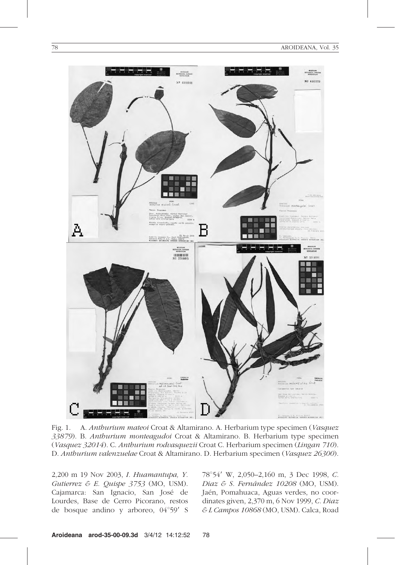

Fig. 1. A. Anthurium mateoi Croat & Altamirano. A. Herbarium type specimen (Vasquez 33879). B. Anthurium monteagudoi Croat & Altamirano. B. Herbarium type specimen (Vasquez 32014). C. Anthurium rodvasquezii Croat C. Herbarium specimen (Lingan 710). D. Anthurium valenzuelae Croat & Altamirano. D. Herbarium specimen (Vasquez 26300).

2,200 m 19 Nov 2003, I. Huamantupa, Y. Gutierrez & E. Quispe 3753 (MO, USM). Cajamarca: San Ignacio, San Jose´ de Lourdes, Base de Cerro Picorano, restos de bosque andino y arboreo,  $04^{\circ}59'$  S 78°54′ W, 2,050–2,160 m, 3 Dec 1998, C. Diaz & S. Fernández 10208 (MO, USM). Jaén, Pomahuaca, Aguas verdes, no coordinates given, 2,370 m, 6 Nov 1999, C. Diaz & L Campos 10868 (MO, USM). Calca, Road